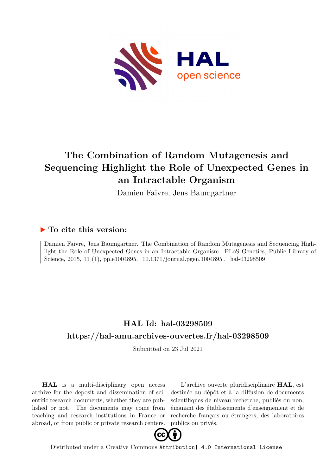

# **The Combination of Random Mutagenesis and Sequencing Highlight the Role of Unexpected Genes in an Intractable Organism**

Damien Faivre, Jens Baumgartner

### **To cite this version:**

Damien Faivre, Jens Baumgartner. The Combination of Random Mutagenesis and Sequencing Highlight the Role of Unexpected Genes in an Intractable Organism. PLoS Genetics, Public Library of Science, 2015, 11 (1), pp.e1004895. 10.1371/journal.pgen.1004895. hal-03298509

### **HAL Id: hal-03298509 <https://hal-amu.archives-ouvertes.fr/hal-03298509>**

Submitted on 23 Jul 2021

**HAL** is a multi-disciplinary open access archive for the deposit and dissemination of scientific research documents, whether they are published or not. The documents may come from teaching and research institutions in France or abroad, or from public or private research centers.

L'archive ouverte pluridisciplinaire **HAL**, est destinée au dépôt et à la diffusion de documents scientifiques de niveau recherche, publiés ou non, émanant des établissements d'enseignement et de recherche français ou étrangers, des laboratoires publics ou privés.



Distributed under a Creative Commons [Attribution| 4.0 International License](http://creativecommons.org/licenses/by/4.0/)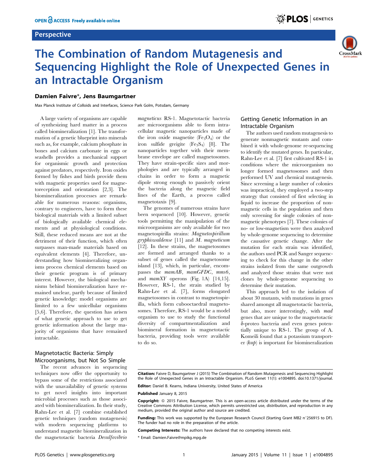#### **Perspective**

# The Combination of Random Mutagenesis and Sequencing Highlight the Role of Unexpected Genes in an Intractable Organism

### Damien Faivre\*, Jens Baumgartner

Max Planck Institute of Colloids and Interfaces, Science Park Golm, Potsdam, Germany

A large variety of organisms are capable of synthesizing hard matter in a process called biomineralization [1]. The transformation of a genetic blueprint into minerals such as, for example, calcium phosphate in bones and calcium carbonate in eggs or seashells provides a mechanical support for organismic growth and protection against predators, respectively. Iron oxides formed by fishes and birds provide them with magnetic properties used for magnetoreception and orientation [2,3]. The biomineralization processes are remarkable for numerous reasons: organisms, contrary to engineers, have to form these biological materials with a limited subset of biologically available chemical elements and at physiological conditions. Still, these reduced means are not at the detriment of their function, which often surpasses man-made materials based on equivalent elements [4]. Therefore, understanding how biomineralizing organisms process chemical elements based on their genetic program is of primary interest. However, the biological mechanisms behind biomineralization have remained unclear, partly because of limited genetic knowledge: model organisms are limited to a few unicellular organisms [5,6]. Therefore, the question has arisen of what genetic approach to use to get genetic information about the large majority of organisms that have remained intractable.

### Magnetotactic Bacteria: Simply Microorganisms, but Not So Simple

The recent advances in sequencing techniques now offer the opportunity to bypass some of the restrictions associated with the unavailability of genetic systems to get novel insights into important microbial processes such as those associated with biomineralization. In their study, Rahn-Lee et al. [7] combine established genetic techniques (random mutagenesis) with modern sequencing platforms to understand magnetite biomineralization in the magnetotactic bacteria Desulfovibrio

magneticus RS-1. Magnetotactic bacteria are microorganisms able to form intracellular magnetic nanoparticles made of the iron oxide magnetite  $(Fe<sub>3</sub>O<sub>4</sub>)$  or the iron sulfide greigite  $(Fe<sub>3</sub>S<sub>4</sub>)$  [8]. The nanoparticles together with their membrane envelope are called magnetosomes. They have strain-specific sizes and morphologies and are typically arranged in chains in order to form a magnetic dipole strong enough to passively orient the bacteria along the magnetic field lines of the Earth, a process called magnetotaxis [9].

The genomes of numerous strains have been sequenced [10]. However, genetic tools permitting the manipulation of the microorganisms are only available for two magnetospirilla strains: Magnetospirillum gryphiswaldense [11] and M. magneticum [12]. In these strains, the magnetosomes are formed and arranged thanks to a subset of genes called the magnetosome island [13], which, in particular, encompasses the mamAB, mamGFDC, mms6, and  $mamXY$  operons (Fig. 1A) [14,15]. However, RS-1, the strain studied by Rahn-Lee et al. [7], forms elongated magnetosomes in contrast to magnetospirilla, which form cubooctaedral magnetosomes. Therefore, RS-1 would be a model organism to use to study the functional diversity of compartmentalization and biomineral formation in magnetotactic bacteria, providing tools were available to do so.

### Getting Genetic Information in an Intractable Organism

<sup>: 1</sup> PLOS GENETICS

CrossMark

The authors used random mutagenesis to generate nonmagnetic mutants and combined it with whole-genome re-sequencing to identify the mutated genes. In particular, Rahn-Lee et al. [7] first cultivated RS-1 in conditions where the microorganism no longer formed magnetosomes and then performed UV and chemical mutagenesis. Since screening a large number of colonies was impractical, they employed a two-step strategy that consisted of first selecting in liquid to increase the proportion of nonmagnetic cells in the population and then only screening for single colonies of nonmagnetic phenotypes [7]. These colonies of no- or low-magnetism were then analyzed by whole-genome sequencing to determine the causative genetic change. After the mutation for each strain was identified, the authors used PCR and Sanger sequencing to check for this change in the other strains isolated from the same outgrowth and analyzed those strains that were not clones by whole-genome sequencing to determine their mutation.

This approach led to the isolation of about 30 mutants, with mutations in genes shared amongst all magnetotactic bacteria, but also, more interestingly, with mad genes that are unique to the magnetotactic d-proteo bacteria and even genes potentially unique to RS-1. The group of A. Komeili found that a potassium transporter  $(kup)$  is important for biomineralization

Editor: Daniel B. Kearns, Indiana University, United States of America

Published January 8, 2015

Competing Interests: The authors have declared that no competing interests exist.

\* Email: Damien.Faivre@mpikg.mpg.de

Citation: Faivre D, Baumgartner J (2015) The Combination of Random Mutagenesis and Sequencing Highlight the Role of Unexpected Genes in an Intractable Organism. PLoS Genet 11(1): e1004895. doi:10.1371/journal.

Copyright: © 2015 Faivre, Baumgartner. This is an open-access article distributed under the terms of the [Creative Commons Attribution License](http://creativecommons.org/licenses/by/4.0/), which permits unrestricted use, distribution, and reproduction in any medium, provided the original author and source are credited.

Funding: This work was supported by the European Research Council (Starting Grant MB2 n°256915 to DF). The funder had no role in the preparation of the article.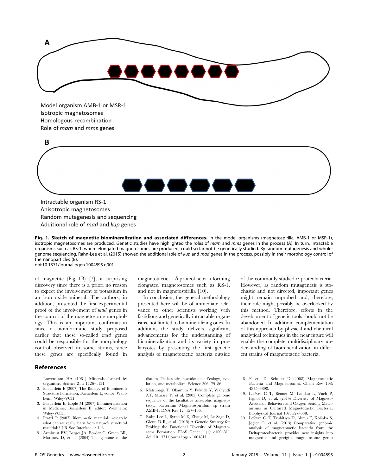

Model organism AMB-1 or MSR-1 Isotropic magnetosomes Homologous recombination Role of mam and mms genes



Anisotropic magnetosomes Random mutagenesis and sequencing Additional role of mad and kup genes

Fig. 1. Sketch of magnetite biomineralization and associated differences. In the model organisms (magnetospirilla, AMB-1 or MSR-1), isotropic magnetosomes are produced. Genetic studies have highlighted the roles of mam and mms genes in the process (A). In turn, intractable organisms such as RS-1, where elongated magnetosomes are produced, could so far not be genetically studied. By random mutagenesis and wholegenome sequencing, Rahn-Lee et al. (2015) showed the additional role of kup and mad genes in the process, possibly in their morphology control of the nanoparticles (B). doi:10.1371/journal.pgen.1004895.g001

of magnetite (Fig. 1B) [7], a surprising discovery since there is a priori no reason to expect the involvement of potassium in an iron oxide mineral. The authors, in addition, presented the first experimental proof of the involvement of mad genes in the control of the magnetosome morphology. This is an important confirmation since a bioinformatic study proposed earlier that these so-called mad genes could be responsible for the morphology control observed in some strains, since these genes are specifically found in

#### References

- 1. Lowenstam HA (1981) Minerals formed by organisms. Science 211: 1126–1131.
- 2. Baeuerlein E (2007) The Biology of Biominerals Structure Formation; Baeuerlein E, editor. Weinheim: Wiley-VCH.
- 3. Baeuerlein E, Epple M (2007) Biomineralization in Medicine; Baeuerlein E, editor. Weinheim: Wiley-VCH.
- 4. Fratzl P (2007) Biomimetic materials research: what can we really learn from nature's structural materials? J R Soc Interface 4: 1–6.
- 5. Armbrust EV, Berges JA, Bowler C, Green BR, Martinez D, et al. (2004) The genome of the

magnetotactic  $\delta$ -proteobacteria-forming elongated magnetosomes such as RS-1, and not in magnetospirilla [10].

In conclusion, the general methodology presented here will be of immediate relevance to other scientists working with fastidious and genetically intractable organisms, not limited to biomineralizing ones. In addition, the study delivers significant advancements for the understanding of biomineralization and its variety in prokaryotes by presenting the first genetic analysis of magnetotactic bacteria outside of the commonly studied  $\alpha$ -proteobacteria. However, as random mutagenesis is stochastic and not directed, important genes might remain unprobed and, therefore, their role might possibly be overlooked by this method. Therefore, efforts in the development of genetic tools should not be abandoned. In addition, complementation of this approach by physical and chemical analytical techniques in the near future will enable the complete multidisciplinary understanding of biomineralization in different strains of magnetotactic bacteria.

diatom Thalassiosira pseudonana: Ecology, evolution, and metabolism. Science 306: 79–86.

- 6. Matsunaga T, Okamura Y, Fukuda Y, Wahyudi AT, Murase Y, et al. (2005) Complete genome sequence of the facultative anaerobic magnetotactic bacterium Magnetospirillum sp strain AMB-1. DNA Res 12: 157–166.
- 7. Rahn-Lee L, Byrne M E, Zhang M, Le Sage D, Glenn D R, et al. (2015) A Genetic Strategy for Probing the Functional Diversity of Magnetosome Formation. PLoS Genet 11(1): e1004811 doi: 10.1371/journal.pgen.1004811
- 8. Faivre D, Schüler D (2008) Magnetotactic Bacteria and Magnetosomes. Chem Rev 108: 4875–4898.
- 9. Lefèvre C T, Bennet M, Landau L, Vach P, Pignol D, et al. (2014) Diversity of Magneto-Aerotactic Behaviors and Oxygen Sensing Mechanisms in Cultured Magnetotactic Bacteria. Biophysical Journal 107: 527–538.
- 10. Lefevre C T, Trubitsyn D, Abreu F, Kolinko S, Jogler C, et al. (2013) Comparative genomic analysis of magnetotactic bacteria from the Deltaproteobacteria provides new insights into magnetite and greigite magnetosome genes